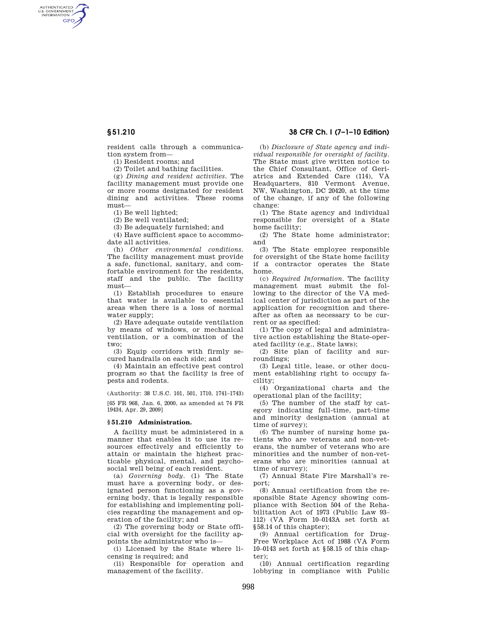AUTHENTICATED<br>U.S. GOVERNMENT<br>INFORMATION **GPO** 

> resident calls through a communication system from—

(1) Resident rooms; and

(2) Toilet and bathing facilities.

(g) *Dining and resident activities.* The facility management must provide one or more rooms designated for resident dining and activities. These rooms must—

(1) Be well lighted;

(2) Be well ventilated;

(3) Be adequately furnished; and

(4) Have sufficient space to accommodate all activities.

(h) *Other environmental conditions.*  The facility management must provide a safe, functional, sanitary, and comfortable environment for the residents, staff and the public. The facility must—

(1) Establish procedures to ensure that water is available to essential areas when there is a loss of normal water supply;

(2) Have adequate outside ventilation by means of windows, or mechanical ventilation, or a combination of the two;

(3) Equip corridors with firmly secured handrails on each side; and

(4) Maintain an effective pest control program so that the facility is free of pests and rodents.

(Authority: 38 U.S.C. 101, 501, 1710, 1741–1743) [65 FR 968, Jan. 6, 2000, as amended at 74 FR 19434, Apr. 29, 2009]

### **§ 51.210 Administration.**

A facility must be administered in a manner that enables it to use its resources effectively and efficiently to attain or maintain the highest practicable physical, mental, and psychosocial well being of each resident.

(a) *Governing body.* (1) The State must have a governing body, or designated person functioning as a governing body, that is legally responsible for establishing and implementing policies regarding the management and operation of the facility; and

(2) The governing body or State official with oversight for the facility appoints the administrator who is—

(i) Licensed by the State where licensing is required; and

(ii) Responsible for operation and management of the facility.

# **§ 51.210 38 CFR Ch. I (7–1–10 Edition)**

(b) *Disclosure of State agency and individual responsible for oversight of facility.*  The State must give written notice to the Chief Consultant, Office of Geriatrics and Extended Care (114), VA Headquarters, 810 Vermont Avenue, NW, Washington, DC 20420, at the time of the change, if any of the following change:

(1) The State agency and individual responsible for oversight of a State home facility;

(2) The State home administrator; and

(3) The State employee responsible for oversight of the State home facility if a contractor operates the State home.

(c) *Required Information.* The facility management must submit the following to the director of the VA medical center of jurisdiction as part of the application for recognition and thereafter as often as necessary to be current or as specified:

(1) The copy of legal and administrative action establishing the State-operated facility (e.g., State laws);

(2) Site plan of facility and surroundings;

(3) Legal title, lease, or other document establishing right to occupy facility;

(4) Organizational charts and the operational plan of the facility;

(5) The number of the staff by category indicating full-time, part-time and minority designation (annual at time of survey);

(6) The number of nursing home patients who are veterans and non-veterans, the number of veterans who are minorities and the number of non-veterans who are minorities (annual at time of survey);

(7) Annual State Fire Marshall's report;

(8) Annual certification from the responsible State Agency showing compliance with Section 504 of the Rehabilitation Act of 1973 (Public Law 93– 112) (VA Form 10–0143A set forth at §58.14 of this chapter);

(9) Annual certification for Drug-Free Workplace Act of 1988 (VA Form 10–0143 set forth at §58.15 of this chapter);

(10) Annual certification regarding lobbying in compliance with Public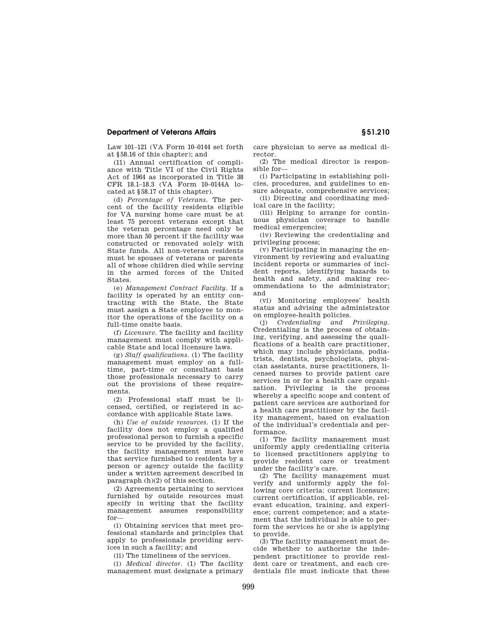## **Department of Veterans Affairs § 51.210**

Law 101–121 (VA Form 10–0144 set forth at §58.16 of this chapter); and

(11) Annual certification of compliance with Title VI of the Civil Rights Act of 1964 as incorporated in Title 38 CFR 18.1–18.3 (VA Form 10–0144A located at §58.17 of this chapter).

(d) *Percentage of Veterans.* The percent of the facility residents eligible for VA nursing home care must be at least 75 percent veterans except that the veteran percentage need only be more than 50 percent if the facility was constructed or renovated solely with State funds. All non-veteran residents must be spouses of veterans or parents all of whose children died while serving in the armed forces of the United States.

(e) *Management Contract Facility.* If a facility is operated by an entity contracting with the State, the State must assign a State employee to monitor the operations of the facility on a full-time onsite basis.

(f) *Licensure.* The facility and facility management must comply with applicable State and local licensure laws.

(g) *Staff qualifications.* (1) The facility management must employ on a fulltime, part-time or consultant basis those professionals necessary to carry out the provisions of these requirements.

(2) Professional staff must be licensed, certified, or registered in accordance with applicable State laws.

(h) *Use of outside resources.* (1) If the facility does not employ a qualified professional person to furnish a specific service to be provided by the facility, the facility management must have that service furnished to residents by a person or agency outside the facility under a written agreement described in paragraph (h)(2) of this section.

(2) Agreements pertaining to services furnished by outside resources must specify in writing that the facility management assumes responsibility for—

(i) Obtaining services that meet professional standards and principles that apply to professionals providing services in such a facility; and

(ii) The timeliness of the services.

(i) *Medical director.* (1) The facility management must designate a primary care physician to serve as medical director.

(2) The medical director is responsible for—

(i) Participating in establishing policies, procedures, and guidelines to ensure adequate, comprehensive services;

(ii) Directing and coordinating medical care in the facility;

(iii) Helping to arrange for continuous physician coverage to handle medical emergencies;

(iv) Reviewing the credentialing and privileging process;

 $(v)$  Participating in managing the environment by reviewing and evaluating incident reports or summaries of incident reports, identifying hazards to health and safety, and making recommendations to the administrator; and

(vi) Monitoring employees' health status and advising the administrator on employee-health policies.

(j) *Credentialing and Privileging.*  Credentialing is the process of obtaining, verifying, and assessing the qualifications of a health care practitioner, which may include physicians, podiatrists, dentists, psychologists, physician assistants, nurse practitioners, licensed nurses to provide patient care services in or for a health care organization. Privileging is the process whereby a specific scope and content of patient care services are authorized for a health care practitioner by the facility management, based on evaluation of the individual's credentials and performance.

(1) The facility management must uniformly apply credentialing criteria to licensed practitioners applying to provide resident care or treatment under the facility's care.

(2) The facility management must verify and uniformly apply the following core criteria: current licensure; current certification, if applicable, relevant education, training, and experience; current competence; and a statement that the individual is able to perform the services he or she is applying to provide.

(3) The facility management must decide whether to authorize the independent practitioner to provide resident care or treatment, and each credentials file must indicate that these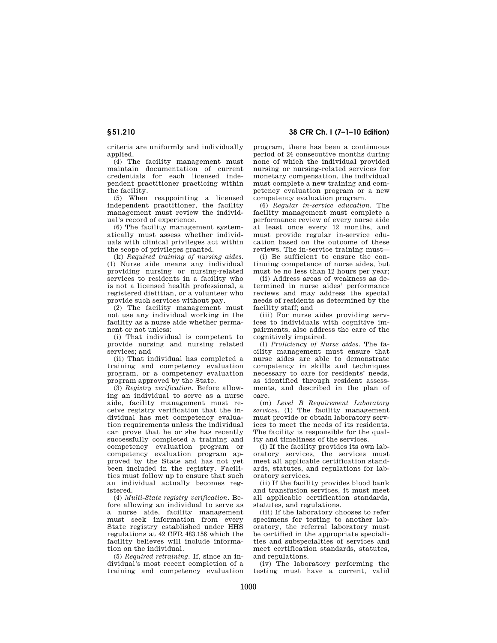criteria are uniformly and individually applied.

(4) The facility management must maintain documentation of current credentials for each licensed independent practitioner practicing within the facility.

(5) When reappointing a licensed independent practitioner, the facility management must review the individual's record of experience.

(6) The facility management systematically must assess whether individuals with clinical privileges act within the scope of privileges granted.

(k) *Required training of nursing aides.*  (1) Nurse aide means any individual providing nursing or nursing-related services to residents in a facility who is not a licensed health professional, a registered dietitian, or a volunteer who provide such services without pay.

(2) The facility management must not use any individual working in the facility as a nurse aide whether permanent or not unless:

(i) That individual is competent to provide nursing and nursing related services; and

(ii) That individual has completed a training and competency evaluation program, or a competency evaluation program approved by the State.

(3) *Registry verification.* Before allowing an individual to serve as a nurse aide, facility management must receive registry verification that the individual has met competency evaluation requirements unless the individual can prove that he or she has recently successfully completed a training and competency evaluation program or competency evaluation program approved by the State and has not yet been included in the registry. Facilities must follow up to ensure that such an individual actually becomes registered.

(4) *Multi-State registry verification.* Before allowing an individual to serve as a nurse aide, facility management must seek information from every State registry established under HHS regulations at 42 CFR 483.156 which the facility believes will include information on the individual.

(5) *Required retraining.* If, since an individual's most recent completion of a training and competency evaluation

**§ 51.210 38 CFR Ch. I (7–1–10 Edition)** 

program, there has been a continuous period of 24 consecutive months during none of which the individual provided nursing or nursing-related services for monetary compensation, the individual must complete a new training and competency evaluation program or a new competency evaluation program.

(6) *Regular in-service education.* The facility management must complete a performance review of every nurse aide at least once every 12 months, and must provide regular in-service education based on the outcome of these reviews. The in-service training must—

(i) Be sufficient to ensure the continuing competence of nurse aides, but must be no less than 12 hours per year;

(ii) Address areas of weakness as determined in nurse aides' performance reviews and may address the special needs of residents as determined by the facility staff; and

(iii) For nurse aides providing services to individuals with cognitive impairments, also address the care of the cognitively impaired.

(l) *Proficiency of Nurse aides.* The facility management must ensure that nurse aides are able to demonstrate competency in skills and techniques necessary to care for residents' needs, as identified through resident assessments, and described in the plan of care.

(m) *Level B Requirement Laboratory services.* (1) The facility management must provide or obtain laboratory services to meet the needs of its residents. The facility is responsible for the quality and timeliness of the services.

(i) If the facility provides its own laboratory services, the services must meet all applicable certification standards, statutes, and regulations for laboratory services.

(ii) If the facility provides blood bank and transfusion services, it must meet all applicable certification standards, statutes, and regulations.

(iii) If the laboratory chooses to refer specimens for testing to another laboratory, the referral laboratory must be certified in the appropriate specialities and subspecialties of services and meet certification standards, statutes, and regulations.

(iv) The laboratory performing the testing must have a current, valid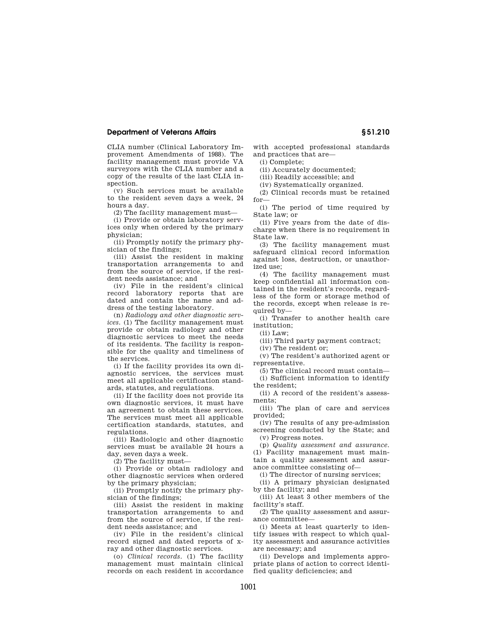# **Department of Veterans Affairs § 51.210**

CLIA number (Clinical Laboratory Improvement Amendments of 1988). The facility management must provide VA surveyors with the CLIA number and a copy of the results of the last CLIA inspection.

(v) Such services must be available to the resident seven days a week, 24 hours a day.

(2) The facility management must—

(i) Provide or obtain laboratory services only when ordered by the primary physician;

(ii) Promptly notify the primary physician of the findings;

(iii) Assist the resident in making transportation arrangements to and from the source of service, if the resident needs assistance; and

(iv) File in the resident's clinical record laboratory reports that are dated and contain the name and address of the testing laboratory.

(n) *Radiology and other diagnostic services.* (1) The facility management must provide or obtain radiology and other diagnostic services to meet the needs of its residents. The facility is responsible for the quality and timeliness of the services.

(i) If the facility provides its own diagnostic services, the services must meet all applicable certification standards, statutes, and regulations.

(ii) If the facility does not provide its own diagnostic services, it must have an agreement to obtain these services. The services must meet all applicable certification standards, statutes, and regulations.

(iii) Radiologic and other diagnostic services must be available 24 hours a day, seven days a week.

(2) The facility must—

(i) Provide or obtain radiology and other diagnostic services when ordered by the primary physician;

(ii) Promptly notify the primary physician of the findings;

(iii) Assist the resident in making transportation arrangements to and from the source of service, if the resident needs assistance; and

(iv) File in the resident's clinical record signed and dated reports of xray and other diagnostic services.

(o) *Clinical records.* (1) The facility management must maintain clinical records on each resident in accordance with accepted professional standards and practices that are—

(i) Complete;

(ii) Accurately documented;

(iii) Readily accessible; and

(iv) Systematically organized.

(2) Clinical records must be retained for—

(i) The period of time required by State law; or

(ii) Five years from the date of discharge when there is no requirement in State law.

(3) The facility management must safeguard clinical record information against loss, destruction, or unauthorized use;

(4) The facility management must keep confidential all information contained in the resident's records, regardless of the form or storage method of the records, except when release is required by—

(i) Transfer to another health care institution;

 $(i)$  Law;

(iii) Third party payment contract;

(iv) The resident or;

(v) The resident's authorized agent or representative.

(5) The clinical record must contain— (i) Sufficient information to identify

the resident; (ii) A record of the resident's assess-

ments; (iii) The plan of care and services

provided; (iv) The results of any pre-admission

screening conducted by the State; and (v) Progress notes.

(p) *Quality assessment and assurance.*  (1) Facility management must maintain a quality assessment and assurance committee consisting of—

(i) The director of nursing services;

(ii) A primary physician designated by the facility; and

(iii) At least 3 other members of the facility's staff.

(2) The quality assessment and assurance committee—

(i) Meets at least quarterly to identify issues with respect to which quality assessment and assurance activities are necessary; and

(ii) Develops and implements appropriate plans of action to correct identified quality deficiencies; and